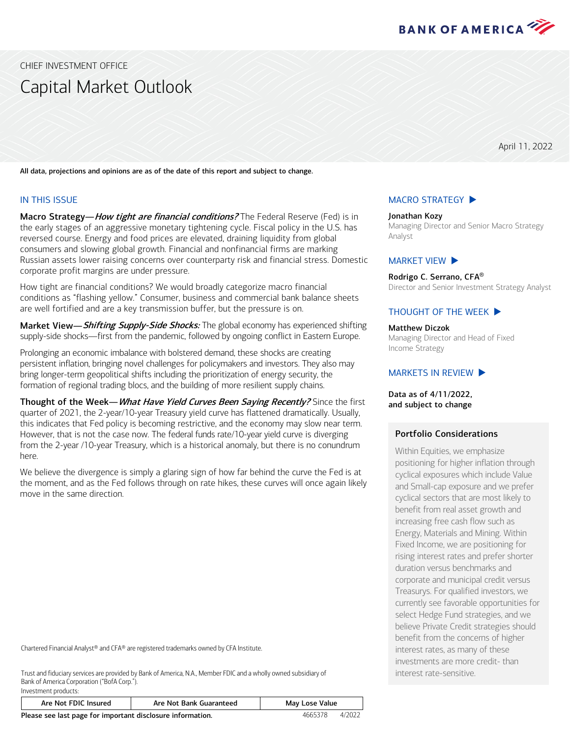

<span id="page-0-0"></span>CHIEF INVESTMENT OFFICE

# Capital Market Outlook

April 11, 2022

All data, projections and opinions are as of the date of this report and subject to change.

#### IN THIS ISSUE

Investment products:

Macro Strategy—How tight are financial conditions? The Federal Reserve (Fed) is in the early stages of an aggressive monetary tightening cycle. Fiscal policy in the U.S. has reversed course. Energy and food prices are elevated, draining liquidity from global consumers and slowing global growth. Financial and nonfinancial firms are marking Russian assets lower raising concerns over counterparty risk and financial stress. Domestic corporate profit margins are under pressure.

How tight are financial conditions? We would broadly categorize macro financial conditions as "flashing yellow." Consumer, business and commercial bank balance sheets are well fortified and are a key transmission buffer, but the pressure is on.

Market View—Shifting Supply-Side Shocks: The global economy has experienced shifting supply-side shocks—first from the pandemic, followed by ongoing conflict in Eastern Europe.

Prolonging an economic imbalance with bolstered demand, these shocks are creating persistent inflation, bringing novel challenges for policymakers and investors. They also may bring longer-term geopolitical shifts including the prioritization of energy security, the formation of regional trading blocs, and the building of more resilient supply chains.

Thought of the Week-What Have Yield Curves Been Saying Recently? Since the first quarter of 2021, the 2-year/10-year Treasury yield curve has flattened dramatically. Usually, this indicates that Fed policy is becoming restrictive, and the economy may slow near term. However, that is not the case now. The federal funds rate/10-year yield curve is diverging from the 2-year /10-year Treasury, which is a historical anomaly, but there is no conundrum here.

We believe the divergence is simply a glaring sign of how far behind the curve the Fed is at the moment, and as the Fed follows through on rate hikes, these curves will once again likely move in the same direction.

Chartered Financial Analyst® and CFA® are registered trademarks owned by CFA Institute.

Trust and fiduciary services are provided by Bank of America, N.A., Member FDIC and a wholly owned subsidiary of Bank of America Corporation ("BofA Corp.").

| Are Not FDIC Insured                                       | Are Not Bank Guaranteed | May Lose Value |        |  |  |  |
|------------------------------------------------------------|-------------------------|----------------|--------|--|--|--|
| Please see last page for important disclosure information. |                         | 4665378        | 4/2022 |  |  |  |

## [MACRO STRATEGY](#page-1-0)  $\blacktriangleright$

Jonathan Kozy Managing Director and Senior Macro Strategy Analyst

#### [MARKET VIEW](#page-3-0)  $\blacktriangleright$

Rodrigo C. Serrano, CFA® Director and Senior Investment Strategy Analyst

#### THOUGHT [OF THE WEEK](#page-5-0)  $\blacktriangleright$

Matthew Diczok

Managing Director and Head of Fixed Income Strategy

#### MARKETS [IN REVIEW](#page-6-0)  $\blacktriangleright$

Data as of 4/11/2022, and subject to change

#### Portfolio Considerations

Within Equities, we emphasize positioning for higher inflation through cyclical exposures which include Value and Small-cap exposure and we prefer cyclical sectors that are most likely to benefit from real asset growth and increasing free cash flow such as Energy, Materials and Mining. Within Fixed Income, we are positioning for rising interest rates and prefer shorter duration versus benchmarks and corporate and municipal credit versus Treasurys. For qualified investors, we currently see favorable opportunities for select Hedge Fund strategies, and we believe Private Credit strategies should benefit from the concerns of higher interest rates, as many of these investments are more credit- than interest rate-sensitive.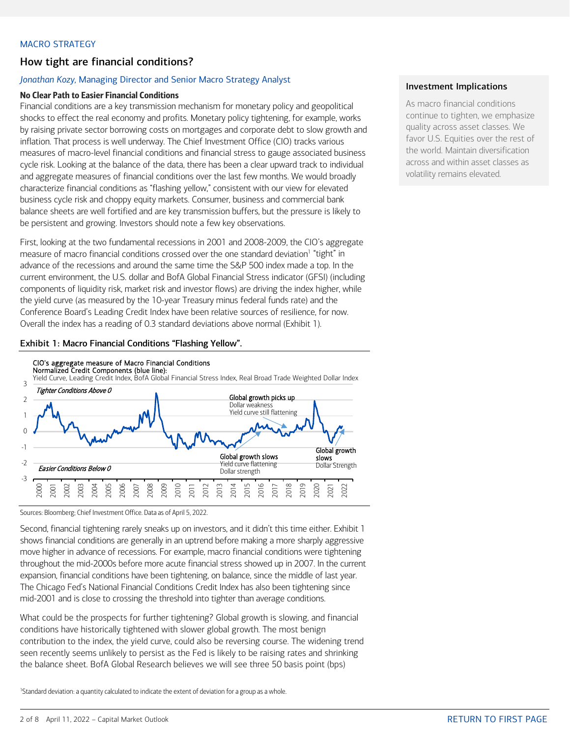#### <span id="page-1-0"></span>MACRO STRATEGY

## How tight are financial conditions?

## *Jonathan Kozy,* Managing Director and Senior Macro Strategy Analyst

## No Clear Path to Easier Financial Conditions

Financial conditions are a key transmission mechanism for monetary policy and geopolitical shocks to effect the real economy and profits. Monetary policy tightening, for example, works by raising private sector borrowing costs on mortgages and corporate debt to slow growth and inflation. That process is well underway. The Chief Investment Office (CIO) tracks various measures of macro-level financial conditions and financial stress to gauge associated business cycle risk. Looking at the balance of the data, there has been a clear upward track to individual and aggregate measures of financial conditions over the last few months. We would broadly characterize financial conditions as "flashing yellow," consistent with our view for elevated business cycle risk and choppy equity markets. Consumer, business and commercial bank balance sheets are well fortified and are key transmission buffers, but the pressure is likely to be persistent and growing. Investors should note a few key observations.

First, looking at the two fundamental recessions in 2001 and 2008-2009, the CIO's aggregate measure of macro financial conditions crossed over the one standard deviation<sup>1</sup> "tight" in advance of the recessions and around the same time the S&P 500 index made a top. In the current environment, the U.S. dollar and BofA Global Financial Stress indicator (GFSI) (including components of liquidity risk, market risk and investor flows) are driving the index higher, while the yield curve (as measured by the 10-year Treasury minus federal funds rate) and the Conference Board's Leading Credit Index have been relative sources of resilience, for now. Overall the index has a reading of 0.3 standard deviations above normal (Exhibit 1).

## Exhibit 1: Macro Financial Conditions "Flashing Yellow".



Sources: Bloomberg; Chief Investment Office. Data as of April 5, 2022.

Second, financial tightening rarely sneaks up on investors, and it didn't this time either. Exhibit 1 shows financial conditions are generally in an uptrend before making a more sharply aggressive move higher in advance of recessions. For example, macro financial conditions were tightening throughout the mid-2000s before more acute financial stress showed up in 2007. In the current expansion, financial conditions have been tightening, on balance, since the middle of last year. The Chicago Fed's National Financial Conditions Credit Index has also been tightening since mid-2001 and is close to crossing the threshold into tighter than average conditions.

What could be the prospects for further tightening? Global growth is slowing, and financial conditions have historically tightened with slower global growth. The most benign contribution to the index, the yield curve, could also be reversing course. The widening trend seen recently seems unlikely to persist as the Fed is likely to be raising rates and shrinking the balance sheet. BofA Global Research believes we will see three 50 basis point (bps)

<sup>1</sup>Standard deviation: a quantity calculated to indicate the extent of deviation for a group as a whole.

## Investment Implications

As macro financial conditions continue to tighten, we emphasize quality across asset classes. We favor U.S. Equities over the rest of the world. Maintain diversification across and within asset classes as volatility remains elevated.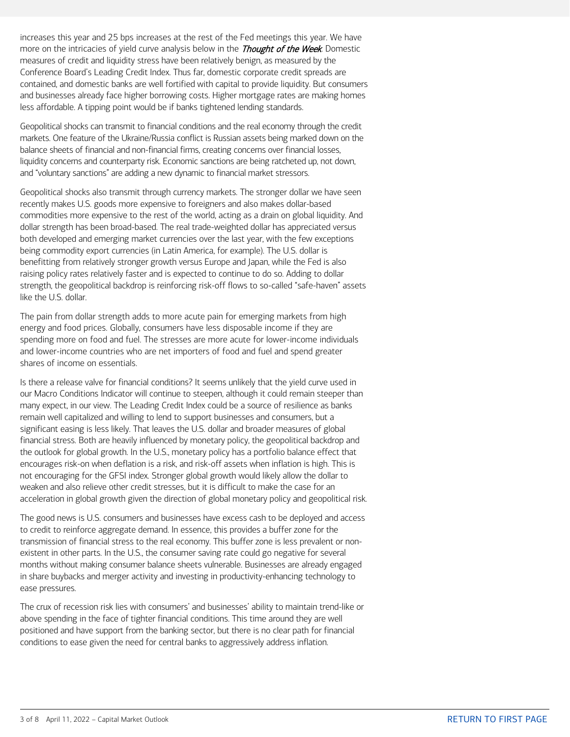increases this year and 25 bps increases at the rest of the Fed meetings this year. We have more on the intricacies of yield curve analysis below in the *Thought of the Week*. Domestic measures of credit and liquidity stress have been relatively benign, as measured by the Conference Board's Leading Credit Index. Thus far, domestic corporate credit spreads are contained, and domestic banks are well fortified with capital to provide liquidity. But consumers and businesses already face higher borrowing costs. Higher mortgage rates are making homes less affordable. A tipping point would be if banks tightened lending standards.

Geopolitical shocks can transmit to financial conditions and the real economy through the credit markets. One feature of the Ukraine/Russia conflict is Russian assets being marked down on the balance sheets of financial and non-financial firms, creating concerns over financial losses, liquidity concerns and counterparty risk. Economic sanctions are being ratcheted up, not down, and "voluntary sanctions" are adding a new dynamic to financial market stressors.

Geopolitical shocks also transmit through currency markets. The stronger dollar we have seen recently makes U.S. goods more expensive to foreigners and also makes dollar-based commodities more expensive to the rest of the world, acting as a drain on global liquidity. And dollar strength has been broad-based. The real trade-weighted dollar has appreciated versus both developed and emerging market currencies over the last year, with the few exceptions being commodity export currencies (in Latin America, for example). The U.S. dollar is benefitting from relatively stronger growth versus Europe and Japan, while the Fed is also raising policy rates relatively faster and is expected to continue to do so. Adding to dollar strength, the geopolitical backdrop is reinforcing risk-off flows to so-called "safe-haven" assets like the U.S. dollar.

The pain from dollar strength adds to more acute pain for emerging markets from high energy and food prices. Globally, consumers have less disposable income if they are spending more on food and fuel. The stresses are more acute for lower-income individuals and lower-income countries who are net importers of food and fuel and spend greater shares of income on essentials.

Is there a release valve for financial conditions? It seems unlikely that the yield curve used in our Macro Conditions Indicator will continue to steepen, although it could remain steeper than many expect, in our view. The Leading Credit Index could be a source of resilience as banks remain well capitalized and willing to lend to support businesses and consumers, but a significant easing is less likely. That leaves the U.S. dollar and broader measures of global financial stress. Both are heavily influenced by monetary policy, the geopolitical backdrop and the outlook for global growth. In the U.S., monetary policy has a portfolio balance effect that encourages risk-on when deflation is a risk, and risk-off assets when inflation is high. This is not encouraging for the GFSI index. Stronger global growth would likely allow the dollar to weaken and also relieve other credit stresses, but it is difficult to make the case for an acceleration in global growth given the direction of global monetary policy and geopolitical risk.

The good news is U.S. consumers and businesses have excess cash to be deployed and access to credit to reinforce aggregate demand. In essence, this provides a buffer zone for the transmission of financial stress to the real economy. This buffer zone is less prevalent or nonexistent in other parts. In the U.S., the consumer saving rate could go negative for several months without making consumer balance sheets vulnerable. Businesses are already engaged in share buybacks and merger activity and investing in productivity-enhancing technology to ease pressures.

The crux of recession risk lies with consumers' and businesses' ability to maintain trend-like or above spending in the face of tighter financial conditions. This time around they are well positioned and have support from the banking sector, but there is no clear path for financial conditions to ease given the need for central banks to aggressively address inflation.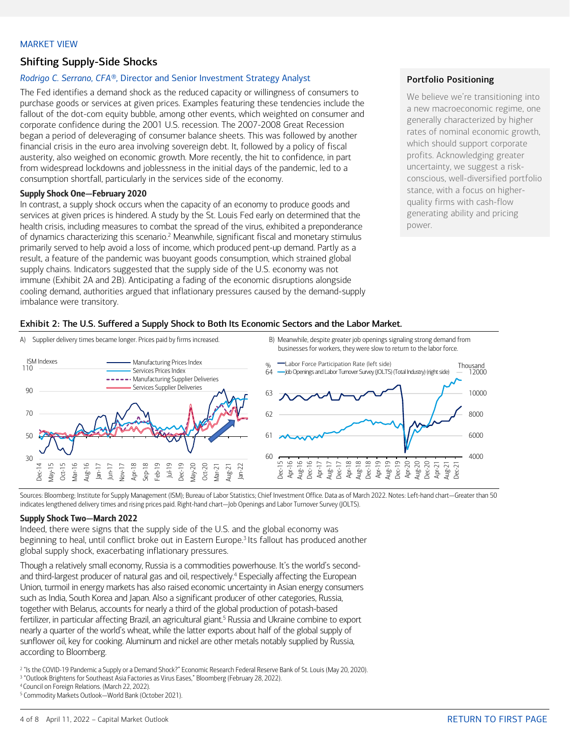#### <span id="page-3-0"></span>MARKET VIEW

## Shifting Supply-Side Shocks

#### *Rodrigo C. Serrano, CFA®,* Director and Senior Investment Strategy Analyst

The Fed identifies a demand shock as the reduced capacity or willingness of consumers to purchase goods or services at given prices. Examples featuring these tendencies include the fallout of the dot-com equity bubble, among other events, which weighted on consumer and corporate confidence during the 2001 U.S. recession. The 2007-2008 Great Recession began a period of deleveraging of consumer balance sheets. This was followed by another financial crisis in the euro area involving sovereign debt. It, followed by a policy of fiscal austerity, also weighed on economic growth. More recently, the hit to confidence, in part from widespread lockdowns and joblessness in the initial days of the pandemic, led to a consumption shortfall, particularly in the services side of the economy.

#### Supply Shock One—February 2020

In contrast, a supply shock occurs when the capacity of an economy to produce goods and services at given prices is hindered. A study by the St. Louis Fed early on determined that the health crisis, including measures to combat the spread of the virus, exhibited a preponderance of dynamics characterizing this scenario.<sup>2</sup> Meanwhile, significant fiscal and monetary stimulus primarily served to help avoid a loss of income, which produced pent-up demand. Partly as a result, a feature of the pandemic was buoyant goods consumption, which strained global supply chains. Indicators suggested that the supply side of the U.S. economy was not immune (Exhibit 2A and 2B). Anticipating a fading of the economic disruptions alongside cooling demand, authorities argued that inflationary pressures caused by the demand-supply imbalance were transitory.

#### Portfolio Positioning

We believe we're transitioning into a new macroeconomic regime, one generally characterized by higher rates of nominal economic growth, which should support corporate profits. Acknowledging greater uncertainty, we suggest a riskconscious, well-diversified portfolio stance, with a focus on higherquality firms with cash-flow generating ability and pricing power.

#### Exhibit 2: The U.S. Suffered a Supply Shock to Both Its Economic Sectors and the Labor Market.



Sources: Bloomberg; Institute for Supply Management (ISM); Bureau of Labor Statistics; Chief Investment Office. Data as of March 2022. Notes: Left-hand chart—Greater than 50 indicates lengthened delivery times and rising prices paid. Right-hand chart—Job Openings and Labor Turnover Survey (JOLTS).

#### Supply Shock Two—March 2022

Indeed, there were signs that the supply side of the U.S. and the global economy was beginning to heal, until conflict broke out in Eastern Europe.<sup>3</sup> Its fallout has produced another global supply shock, exacerbating inflationary pressures.

Though a relatively small economy, Russia is a commodities powerhouse. It's the world's secondand third-largest producer of natural gas and oil, respectively.<sup>4</sup> Especially affecting the European Union, turmoil in energy markets has also raised economic uncertainty in Asian energy consumers such as India, South Korea and Japan. Also a significant producer of other categories, Russia, together with Belarus, accounts for nearly a third of the global production of potash-based fertilizer, in particular affecting Brazil, an agricultural giant.<sup>5</sup> Russia and Ukraine combine to export nearly a quarter of the world's wheat, while the latter exports about half of the global supply of sunflower oil, key for cooking. Aluminum and nickel are other metals notably supplied by Russia, according to Bloomberg.

<sup>2</sup> "Is the COVID-19 Pandemic a Supply or a Demand Shock?" Economic Research Federal Reserve Bank of St. Louis (May 20, 2020).

<sup>3</sup> "Outlook Brightens for Southeast Asia Factories as Virus Eases," Bloomberg (February 28, 2022).

4 Council on Foreign Relations. (March 22, 2022).

<sup>5</sup> Commodity Markets Outlook—World Bank (October 2021).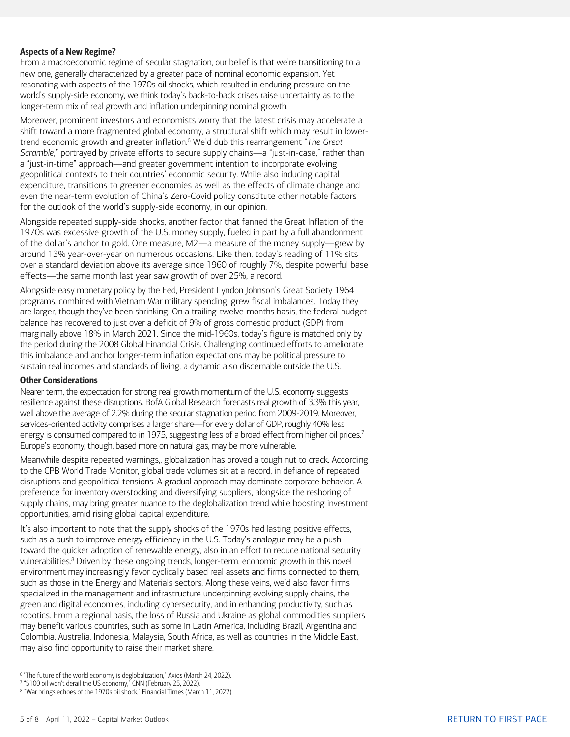#### Aspects of a New Regime?

From a macroeconomic regime of secular stagnation, our belief is that we're transitioning to a new one, generally characterized by a greater pace of nominal economic expansion. Yet resonating with aspects of the 1970s oil shocks, which resulted in enduring pressure on the world's supply-side economy, we think today's back-to-back crises raise uncertainty as to the longer-term mix of real growth and inflation underpinning nominal growth.

Moreover, prominent investors and economists worry that the latest crisis may accelerate a shift toward a more fragmented global economy, a structural shift which may result in lowertrend economic growth and greater inflation. <sup>6</sup> We'd dub this rearrangement "*The Great Scramble*," portrayed by private efforts to secure supply chains—a "just-in-case," rather than a "just-in-time" approach—and greater government intention to incorporate evolving geopolitical contexts to their countries' economic security. While also inducing capital expenditure, transitions to greener economies as well as the effects of climate change and even the near-term evolution of China's Zero-Covid policy constitute other notable factors for the outlook of the world's supply-side economy, in our opinion.

Alongside repeated supply-side shocks, another factor that fanned the Great Inflation of the 1970s was excessive growth of the U.S. money supply, fueled in part by a full abandonment of the dollar's anchor to gold. One measure, M2―a measure of the money supply―grew by around 13% year-over-year on numerous occasions. Like then, today's reading of 11% sits over a standard deviation above its average since 1960 of roughly 7%, despite powerful base effects—the same month last year saw growth of over 25%, a record.

Alongside easy monetary policy by the Fed, President Lyndon Johnson's Great Society 1964 programs, combined with Vietnam War military spending, grew fiscal imbalances. Today they are larger, though they've been shrinking. On a trailing-twelve-months basis, the federal budget balance has recovered to just over a deficit of 9% of gross domestic product (GDP) from marginally above 18% in March 2021. Since the mid-1960s, today's figure is matched only by the period during the 2008 Global Financial Crisis. Challenging continued efforts to ameliorate this imbalance and anchor longer-term inflation expectations may be political pressure to sustain real incomes and standards of living, a dynamic also discernable outside the U.S.

#### Other Considerations

Nearer term, the expectation for strong real growth momentum of the U.S. economy suggests resilience against these disruptions. BofA Global Research forecasts real growth of 3.3% this year, well above the average of 2.2% during the secular stagnation period from 2009-2019. Moreover, services-oriented activity comprises a larger share—for every dollar of GDP, roughly 40% less energy is consumed compared to in 1975, suggesting less of a broad effect from higher oil prices.<sup>7</sup> Europe's economy, though, based more on natural gas, may be more vulnerable.

Meanwhile despite repeated warnings,, globalization has proved a tough nut to crack. According to the CPB World Trade Monitor, global trade volumes sit at a record, in defiance of repeated disruptions and geopolitical tensions. A gradual approach may dominate corporate behavior. A preference for inventory overstocking and diversifying suppliers, alongside the reshoring of supply chains, may bring greater nuance to the deglobalization trend while boosting investment opportunities, amid rising global capital expenditure.

It's also important to note that the supply shocks of the 1970s had lasting positive effects, such as a push to improve energy efficiency in the U.S. Today's analogue may be a push toward the quicker adoption of renewable energy, also in an effort to reduce national security vulnerabilities.<sup>8</sup> Driven by these ongoing trends, longer-term, economic growth in this novel environment may increasingly favor cyclically based real assets and firms connected to them, such as those in the Energy and Materials sectors. Along these veins, we'd also favor firms specialized in the management and infrastructure underpinning evolving supply chains, the green and digital economies, including cybersecurity, and in enhancing productivity, such as robotics. From a regional basis, the loss of Russia and Ukraine as global commodities suppliers may benefit various countries, such as some in Latin America, including Brazil, Argentina and Colombia. Australia, Indonesia, Malaysia, South Africa, as well as countries in the Middle East, may also find opportunity to raise their market share.

<sup>&</sup>lt;sup>6</sup> "The future of the world economy is deglobalization," Axios (March 24, 2022).

<sup>7</sup> "\$100 oil won't derail the US economy," CNN (February 25, 2022).

<sup>&</sup>lt;sup>8</sup> "War brings echoes of the 1970s oil shock," Financial Times (March 11, 2022).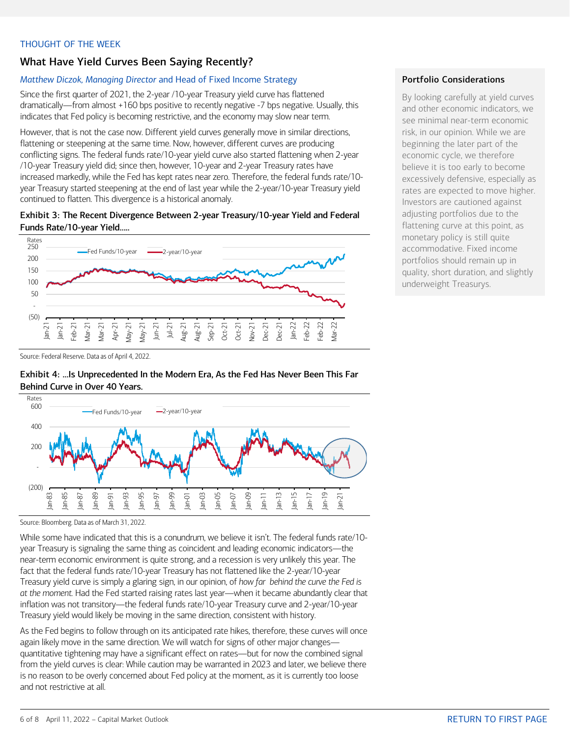#### <span id="page-5-0"></span>THOUGHT OF THE WEEK

## What Have Yield Curves Been Saying Recently?

#### *Matthew Diczok, Managing Director* and Head of Fixed Income Strategy

Since the first quarter of 2021, the 2-year /10-year Treasury yield curve has flattened dramatically—from almost +160 bps positive to recently negative -7 bps negative. Usually, this indicates that Fed policy is becoming restrictive, and the economy may slow near term.

However, that is not the case now. Different yield curves generally move in similar directions, flattening or steepening at the same time. Now, however, different curves are producing conflicting signs. The federal funds rate/10-year yield curve also started flattening when 2-year /10-year Treasury yield did; since then, however, 10-year and 2-year Treasury rates have increased markedly, while the Fed has kept rates near zero. Therefore, the federal funds rate/10 year Treasury started steepening at the end of last year while the 2-year/10-year Treasury yield continued to flatten. This divergence is a historical anomaly.

#### Exhibit 3: The Recent Divergence Between 2-year Treasury/10-year Yield and Federal Funds Rate/10-year Yield…..



#### Portfolio Considerations

By looking carefully at yield curves and other economic indicators, we see minimal near-term economic risk, in our opinion. While we are beginning the later part of the economic cycle, we therefore believe it is too early to become excessively defensive, especially as rates are expected to move higher. Investors are cautioned against adjusting portfolios due to the flattening curve at this point, as monetary policy is still quite accommodative. Fixed income portfolios should remain up in quality, short duration, and slightly underweight Treasurys.

Source: Federal Reserve. Data as of April 4, 2022.





Source: Bloomberg. Data as of March 31, 2022.

While some have indicated that this is a conundrum, we believe it isn't. The federal funds rate/10 year Treasury is signaling the same thing as coincident and leading economic indicators—the near-term economic environment is quite strong, and a recession is very unlikely this year. The fact that the federal funds rate/10-year Treasury has not flattened like the 2-year/10-year Treasury yield curve is simply a glaring sign, in our opinion, of *how far behind the curve the Fed is at the moment.* Had the Fed started raising rates last year—when it became abundantly clear that inflation was not transitory—the federal funds rate/10-year Treasury curve and 2-year/10-year Treasury yield would likely be moving in the same direction, consistent with history.

As the Fed begins to follow through on its anticipated rate hikes, therefore, these curves will once again likely move in the same direction. We will watch for signs of other major changes quantitative tightening may have a significant effect on rates—but for now the combined signal from the yield curves is clear: While caution may be warranted in 2023 and later, we believe there is no reason to be overly concerned about Fed policy at the moment, as it is currently too loose and not restrictive at all.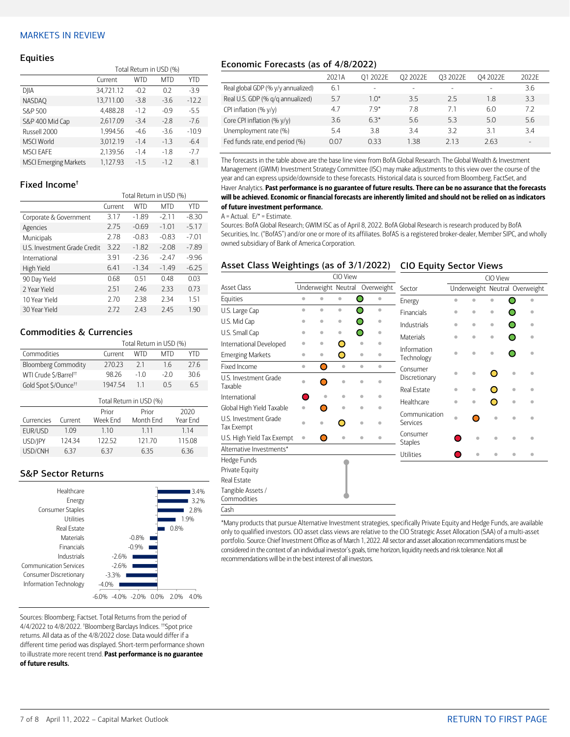#### <span id="page-6-0"></span>MARKETS IN REVIEW

#### **Equities**

|                              | Total Return in USD (%) |            |            |         |  |  |
|------------------------------|-------------------------|------------|------------|---------|--|--|
|                              | Current                 | <b>WTD</b> | <b>MTD</b> | YTD     |  |  |
| DJIA                         | 34,721.12               | $-0.2$     | 0.2        | $-3.9$  |  |  |
| <b>NASDAO</b>                | 13,711.00               | $-3.8$     | $-3.6$     | $-12.2$ |  |  |
| S&P 500                      | 4,488.28                | $-1.2$     | $-0.9$     | $-5.5$  |  |  |
| S&P 400 Mid Cap              | 2,617.09                | $-3.4$     | $-2.8$     | $-7.6$  |  |  |
| Russell 2000                 | 1.994.56                | $-4.6$     | $-3.6$     | $-10.9$ |  |  |
| <b>MSCI World</b>            | 3,012.19                | $-1.4$     | $-1.3$     | $-6.4$  |  |  |
| <b>MSCI EAFE</b>             | 2.139.56                | $-1.4$     | $-1.8$     | $-7.7$  |  |  |
| <b>MSCI Emerging Markets</b> | 1.127.93                | $-15$      | $-1.2$     | $-8.1$  |  |  |

#### Fixed Income†

|                              | Total Return in USD (%) |            |            |         |  |  |
|------------------------------|-------------------------|------------|------------|---------|--|--|
|                              | Current                 | <b>WTD</b> | <b>MTD</b> | YTD     |  |  |
| Corporate & Government       | 3.17                    | $-1.89$    | $-2.11$    | $-8.30$ |  |  |
| Agencies                     | 2.75                    | $-0.69$    | $-1.01$    | $-5.17$ |  |  |
| Municipals                   | 2.78                    | $-0.83$    | $-0.83$    | $-7.01$ |  |  |
| U.S. Investment Grade Credit | 3.22                    | $-1.82$    | $-2.08$    | $-7.89$ |  |  |
| International                | 3.91                    | $-2.36$    | $-2.47$    | $-9.96$ |  |  |
| High Yield                   | 6.41                    | $-1.34$    | $-1.49$    | $-6.25$ |  |  |
| 90 Day Yield                 | 0.68                    | 0.51       | 0.48       | 0.03    |  |  |
| 2 Year Yield                 | 2.51                    | 2.46       | 2.33       | 0.73    |  |  |
| 10 Year Yield                | 2.70                    | 2.38       | 2.34       | 1.51    |  |  |
| 30 Year Yield                | 272                     | 2.43       | 2.45       | 1.90    |  |  |

#### Commodities & Currencies

|                                   | Total Return in USD (%) |                |     |     |  |  |
|-----------------------------------|-------------------------|----------------|-----|-----|--|--|
| Commodities                       | Current                 | WTD            | MTD | YTD |  |  |
| <b>Bloomberg Commodity</b>        | 27023                   | 21             | 16  | 276 |  |  |
| WTI Crude \$/Barrel <sup>++</sup> | 9826                    | $-20$<br>$-10$ |     | 306 |  |  |
| Gold Spot \$/Ounce <sup>tt</sup>  | 1947 54                 | 11             | 05  | 65  |  |  |
|                                   | Total Return in USD (%) |                |     |     |  |  |

|            |         | Prior    | Prior     | 2020     |
|------------|---------|----------|-----------|----------|
| Currencies | Current | Week Fnd | Month Fnd | Year Fnd |
| FUR/USD    | 1.09    | 110      | 1 1 1     | 114      |
| USD/IPY    | 124 34  | 122.52.  | 12170     | 11508    |
| USD/CNH    | 637     | 637      | 635       | 636      |

#### S&P Sector Returns



Sources: Bloomberg; Factset. Total Returns from the period of 4/4/2022 to 4/8/2022. † Bloomberg Barclays Indices. ††Spot price returns. All data as of the 4/8/2022 close. Data would differ if a different time period was displayed. Short-term performance shown to illustrate more recent trend. Past performance is no guarantee of future results.

#### Economic Forecasts (as of 4/8/2022)

|                                    | 2021A | O1 2022E | O <sub>2</sub> 2022E | 03 2022E | 04 2022E | 2022F  |
|------------------------------------|-------|----------|----------------------|----------|----------|--------|
| Real global GDP (% y/y annualized) | 6.1   |          |                      |          |          | 3.6    |
| Real U.S. GDP (% g/g annualized)   | 5.7   | $1.0*$   | 3.5                  | 25       | 1.8      | 3.3    |
| CPI inflation $(\% \gamma/\gamma)$ | 4.7   | 79*      | 7.8                  | 7.1      | 6.0      | 7.2    |
| Core CPI inflation (% y/y)         | 3.6   | $63*$    | 5.6                  | 53       | 5.0      | 5.6    |
| Unemployment rate (%)              | 5.4   | 38       | 3.4                  | 37       | 31       | 34     |
| Fed funds rate, end period (%)     | 0.07  | 033      | 1.38                 | 213      | 2.63     | $\sim$ |

The forecasts in the table above are the base line view from BofA Global Research. The Global Wealth & Investment Management (GWIM) Investment Strategy Committee (ISC) may make adjustments to this view over the course of the year and can express upside/downside to these forecasts. Historical data is sourced from Bloomberg, FactSet, and Haver Analytics. Past performance is no guarantee of future results. There can be no assurance that the forecasts will be achieved. Economic or financial forecasts are inherently limited and should not be relied on as indicators of future investment performance.

#### $A =$  Actual.  $E/* =$  Estimate.

Sources: BofA Global Research; GWIM ISC as of April 8, 2022. BofA Global Research is research produced by BofA Securities, Inc. ("BofAS") and/or one or more of its affiliates. BofAS is a registered broker-dealer, Member SIPC, and wholly owned subsidiary of Bank of America Corporation.

#### Asset Class Weightings (as of 3/1/2022) CIO Equity Sector Views

|                                     |                     |           | CIO View  |                        |                            | CIO View                       |              |           |   |   |  |
|-------------------------------------|---------------------|-----------|-----------|------------------------|----------------------------|--------------------------------|--------------|-----------|---|---|--|
| <b>Asset Class</b>                  | Underweight Neutral |           |           | Overweight             | Sector                     | Underweight Neutral Overweight |              |           |   |   |  |
| Equities                            | ò                   | $\bullet$ | $\bullet$ | O<br>$\bullet$         | Energy                     | ó                              |              | ä         |   |   |  |
| U.S. Large Cap                      | ò                   | $\bullet$ | $\bullet$ | ∩<br>$\bullet$         | <b>Financials</b>          | ò                              | $\bullet$    | $\bullet$ |   | ۰ |  |
| U.S. Mid Cap                        | ۵                   | ۰         | $\bullet$ | Ω<br>٠                 | Industrials                | ò                              | $\bullet$    | $\bullet$ |   | ö |  |
| U.S. Small Cap                      | ۵                   | ۰         | ۰         | ∩                      | Materials                  | ó                              | $\bullet$    | $\bullet$ |   |   |  |
| International Developed             | ۰                   | ۰         | Ο         | $\bullet$              |                            |                                |              |           |   |   |  |
| <b>Emerging Markets</b>             | ö                   | $\bullet$ | O         | $\bullet$              | Information<br>Technology  | ó                              | $\triangleq$ | ö         | ◠ |   |  |
| Fixed Income                        | $\bullet$           | Ο         | $\bullet$ | $\bullet$<br>$\bullet$ | Consumer                   |                                |              |           |   |   |  |
| U.S. Investment Grade               | ۵                   | ∩         | $\bullet$ | ۵                      | Discretionary              | ó                              | $\bullet$    | O         | ó | ä |  |
| Taxable                             |                     |           |           |                        | <b>Real Estate</b>         | ۰                              | ۰            |           | ò |   |  |
| International                       |                     | ó         | $\bullet$ | ó<br>٠                 | Healthcare                 | ö                              | $\bullet$    | 0         | ó |   |  |
| Global High Yield Taxable           | ò                   |           | $\bullet$ | $\bullet$              | Communication              |                                |              |           |   |   |  |
| U.S. Investment Grade<br>Tax Exempt |                     |           |           | ó                      | Services                   | $\bullet$                      |              | $\bullet$ | ä |   |  |
| U.S. High Yield Tax Exempt          | ò                   | O         | $\bullet$ | $\bullet$<br>٠         | Consumer<br><b>Staples</b> |                                | ä            |           | ۰ |   |  |
| Alternative Investments*            |                     |           |           |                        | <b>Utilities</b>           |                                |              |           | á | ۰ |  |
| Hedge Funds                         |                     |           |           |                        |                            |                                |              |           |   |   |  |
| Private Equity                      |                     |           |           |                        |                            |                                |              |           |   |   |  |
| Real Estate                         |                     |           |           |                        |                            |                                |              |           |   |   |  |
| Tangible Assets /<br>Commodities    |                     |           |           |                        |                            |                                |              |           |   |   |  |
| Cash                                |                     |           |           |                        |                            |                                |              |           |   |   |  |

\*Many products that pursue Alternative Investment strategies, specifically Private Equity and Hedge Funds, are available only to qualified investors. CIO asset class views are relative to the CIO Strategic Asset Allocation (SAA) of a multi-asset portfolio. Source: Chief Investment Office as of March 1, 2022. All sector and asset allocation recommendations must be considered in the context of an individual investor's goals, time horizon, liquidity needs and risk tolerance. Not all recommendations will be in the best interest of all investors.